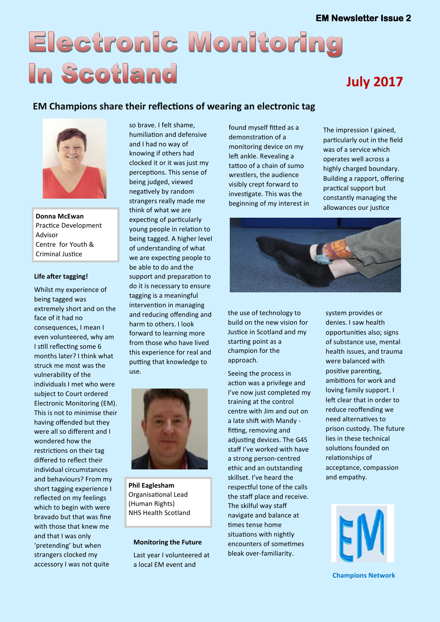# Electronic Monitoring In Scotland

# **July 2017**

### **EM Champions share their reflections of wearing an electronic tag**



**Donna McEwan**  Practice Development Advisor Centre for Youth & Criminal Justice

#### **Life after tagging!**

Whilst my experience of being tagged was extremely short and on the face of it had no consequences, I mean I even volunteered, why am I still reflecting some 6 months later? I think what struck me most was the vulnerability of the individuals I met who were subject to Court ordered Electronic Monitoring (EM). This is not to minimise their having offended but they were all so different and I wondered how the restrictions on their tag differed to reflect their individual circumstances and behaviours? From my short tagging experience I reflected on my feelings which to begin with were bravado but that was fine with those that knew me and that I was only 'pretending' but when strangers clocked my accessory I was not quite

so brave. I felt shame, humiliation and defensive and I had no way of knowing if others had clocked it or it was just my perceptions. This sense of being judged, viewed negatively by random strangers really made me think of what we are expecting of particularly young people in relation to being tagged. A higher level of understanding of what we are expecting people to be able to do and the support and preparation to do it is necessary to ensure tagging is a meaningful intervention in managing and reducing offending and harm to others. I look forward to learning more from those who have lived this experience for real and putting that knowledge to use.



**Phil Eaglesham**  Organisational Lead (Human Rights) NHS Health Scotland

#### **Monitoring the Future**

Last year I volunteered at a local EM event and

found myself fitted as a demonstration of a monitoring device on my left ankle. Revealing a tattoo of a chain of sumo wrestlers, the audience visibly crept forward to investigate. This was the beginning of my interest in

The impression I gained, particularly out in the field was of a service which operates well across a highly charged boundary. Building a rapport, offering practical support but constantly managing the allowances our justice



the use of technology to build on the new vision for Justice in Scotland and my starting point as a champion for the approach.

Seeing the process in action was a privilege and I've now just completed my training at the control centre with Jim and out on a late shift with Mandy fitting, removing and adjusting devices. The G4S staff I've worked with have a strong person-centred ethic and an outstanding skillset. I've heard the respectful tone of the calls the staff place and receive. The skilful way staff navigate and balance at times tense home situations with nightly encounters of sometimes bleak over-familiarity.

system provides or denies. I saw health opportunities also; signs of substance use, mental health issues, and trauma were balanced with positive parenting, ambitions for work and loving family support. I left clear that in order to reduce reoffending we need alternatives to prison custody. The future lies in these technical solutions founded on relationships of acceptance, compassion and empathy.



**Champions Network**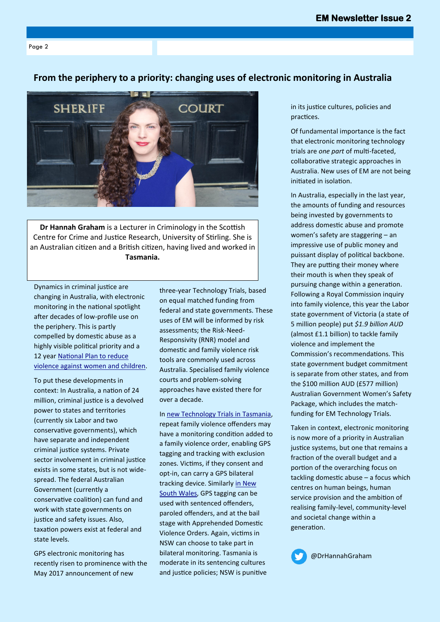Page 2

#### **From the periphery to a priority: changing uses of electronic monitoring in Australia**



**Dr Hannah Graham** is a Lecturer in Criminology in the Scottish Centre for Crime and Justice Research, University of Stirling. She is an Australian citizen and a British citizen, having lived and worked in **Tasmania.**

Dynamics in criminal justice are changing in Australia, with electronic monitoring in the national spotlight after decades of low-profile use on the periphery. This is partly compelled by domestic abuse as a highly visible political priority and a 12 year [National Plan to reduce](https://www.dss.gov.au/women/programs-services/reducing-violence/the-national-plan-to-reduce-violence-against-women-and-their-children-2010-2022)  [violence against women and children.](https://www.dss.gov.au/women/programs-services/reducing-violence/the-national-plan-to-reduce-violence-against-women-and-their-children-2010-2022)

To put these developments in context: In Australia, a nation of 24 million, criminal justice is a devolved power to states and territories (currently six Labor and two conservative governments), which have separate and independent criminal justice systems. Private sector involvement in criminal justice exists in some states, but is not widespread. The federal Australian Government (currently a conservative coalition) can fund and work with state governments on justice and safety issues. Also, taxation powers exist at federal and state levels.

GPS electronic monitoring has recently risen to prominence with the May 2017 announcement of new

three-year Technology Trials, based on equal matched funding from federal and state governments. These uses of EM will be informed by risk assessments; the Risk-Need-Responsivity (RNR) model and domestic and family violence risk tools are commonly used across Australia. Specialised family violence courts and problem-solving approaches have existed there for over a decade.

In [new Technology Trials in Tasmania,](http://christianporter.dss.gov.au/media-releases/tasmania-to-trial-gps-tracking-of-repeat-family-violence-offenders) repeat family violence offenders may have a monitoring condition added to a family violence order, enabling GPS tagging and tracking with exclusion zones. Victims, if they consent and opt-in, can carry a GPS bilateral tracking device. Similarly [in New](http://www.smh.com.au/nsw/nsw-state-budget-2016-gps-tracking-for-highrisk-domestic-violence-offenders-20160609-gpfz5z.html)  [South Wales,](http://www.smh.com.au/nsw/nsw-state-budget-2016-gps-tracking-for-highrisk-domestic-violence-offenders-20160609-gpfz5z.html) GPS tagging can be used with sentenced offenders, paroled offenders, and at the bail stage with Apprehended Domestic Violence Orders. Again, victims in NSW can choose to take part in bilateral monitoring. Tasmania is moderate in its sentencing cultures and justice policies; NSW is punitive

in its justice cultures, policies and practices.

Of fundamental importance is the fact that electronic monitoring technology trials are *one part* of multi-faceted, collaborative strategic approaches in Australia. New uses of EM are not being initiated in isolation.

In Australia, especially in the last year, the amounts of funding and resources being invested by governments to address domestic abuse and promote women's safety are staggering – an impressive use of public money and puissant display of political backbone. They are putting their money where their mouth is when they speak of pursuing change within a generation. Following a Royal Commission inquiry into family violence, this year the Labor state government of Victoria (a state of 5 million people) put *\$1.9 billion AUD* (almost £1.1 billion) to tackle family violence and implement the Commission's recommendations. This state government budget commitment is separate from other states, and from the \$100 million AUD (£577 million) Australian Government Women's Safety Package, which includes the matchfunding for EM Technology Trials.

Taken in context, electronic monitoring is now more of a priority in Australian justice systems, but one that remains a fraction of the overall budget and a portion of the overarching focus on tackling domestic abuse – a focus which centres on human beings, human service provision and the ambition of realising family-level, community-level and societal change within a generation.

@DrHannahGraham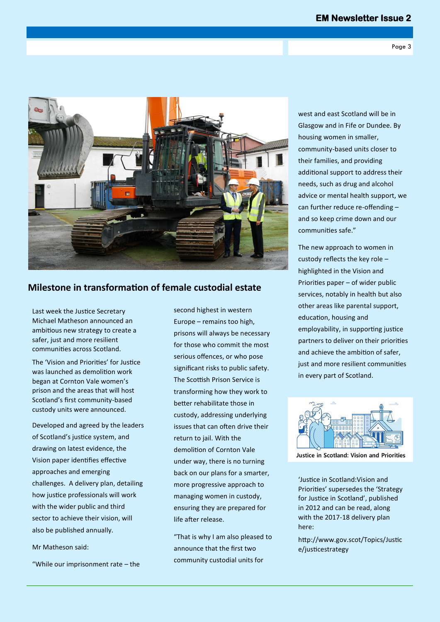

#### **Milestone in transformation of female custodial estate**

Last week the Justice Secretary Michael Matheson announced an ambitious new strategy to create a safer, just and more resilient communities across Scotland.

The 'Vision and Priorities' for Justice was launched as demolition work began at Cornton Vale women's prison and the areas that will host Scotland's first community-based custody units were announced.

Developed and agreed by the leaders of Scotland's justice system, and drawing on latest evidence, the Vision paper identifies effective approaches and emerging challenges. A delivery plan, detailing how justice professionals will work with the wider public and third sector to achieve their vision, will also be published annually.

Mr Matheson said:

"While our imprisonment rate – the

second highest in western Europe – remains too high, prisons will always be necessary for those who commit the most serious offences, or who pose significant risks to public safety. The Scottish Prison Service is transforming how they work to better rehabilitate those in custody, addressing underlying issues that can often drive their return to jail. With the demolition of Cornton Vale under way, there is no turning back on our plans for a smarter, more progressive approach to managing women in custody, ensuring they are prepared for life after release.

"That is why I am also pleased to announce that the first two community custodial units for

west and east Scotland will be in Glasgow and in Fife or Dundee. By housing women in smaller, community-based units closer to their families, and providing additional support to address their needs, such as drug and alcohol advice or mental health support, we can further reduce re-offending – and so keep crime down and our communities safe."

The new approach to women in custody reflects the key role – highlighted in the Vision and Priorities paper – of wider public services, notably in health but also other areas like parental support, education, housing and employability, in supporting justice partners to deliver on their priorities and achieve the ambition of safer, just and more resilient communities in every part of Scotland.



Justice in Scotland: Vision and Priorities

'Justice in Scotland:Vision and Priorities' supersedes the 'Strategy for Justice in Scotland', published in 2012 and can be read, along with the 2017-18 delivery plan here:

http://www.gov.scot/Topics/Justic e/justicestrategy